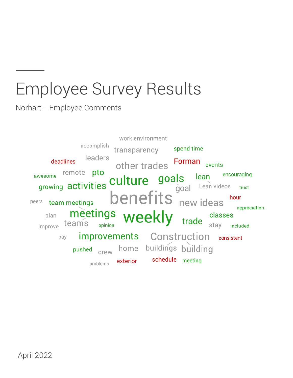# Employee Survey Results

Norhart - Employee Comments

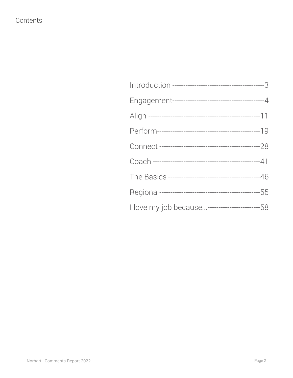#### Contents

| I love my job because--------------------------------58 |  |
|---------------------------------------------------------|--|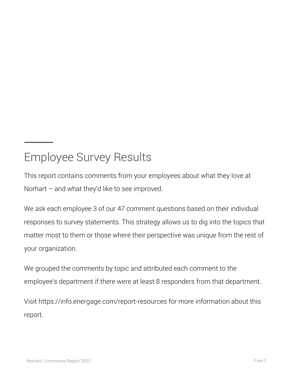## Employee Survey Results

This report contains comments from your employees about what they love at Norhart – and what they'd like to see improved.

We ask each employee 3 of our 47 comment questions based on their individual responses to survey statements. This strategy allows us to dig into the topics that matter most to them or those where their perspective was unique from the rest of your organization.

We grouped the comments by topic and attributed each comment to the employee's department if there were at least 8 responders from that department.

Visit <https://info.energage.com/report-resources> for more information about this report.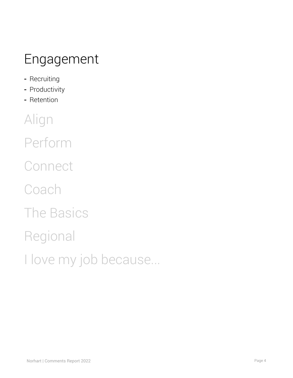## <span id="page-3-0"></span>Engagement

- **-** Recruiting
- **-** Productivity
- **-** Retention

Align Perform **Connect** Coach The Basics Regional I love my job because...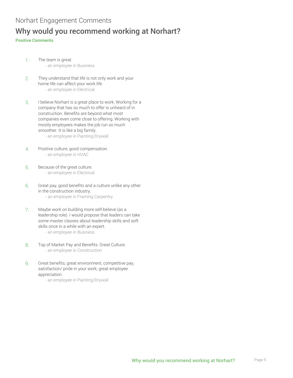## Norhart Engagement Comments Why would you recommend working at Norhart?

#### Positive Comments

- 1. The team is great. - an employee in Business
- 2. They understand that life is not only work and your home life can affect your work life. - an employee in Electrical
- 3. I believe Norhart is a great place to work. Working for a company that has so much to offer is unheard of in construction. Benefits are beyond what most companies even come close to offering. Working with mostly employees makes the job run so much smoother. It is like a big family.
	- an employee in Painting/Drywall
- 4. Positive culture, good compensation. - an employee in HVAC
- 5. Because of the great culture. - an employee in Electrical
- 6. Great pay, good benefits and a culture unlike any other in the construction industry. - an employee in Framing Carpentry
- 7. Maybe work on building more self-believe (as a leadership role). I would propose that leaders can take some master classes about leadership skills and soft skills once in a while with an expert. - an employee in Business
- 8. Top of Market Pay and Benefits. Great Culture. - an employee in Construction
- 9. Great benefits, great environment, competitive pay, satisfaction/ pride in your work, great employee appreciation.
	- an employee in Painting/Drywall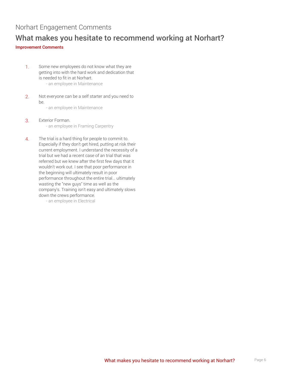### What makes you hesitate to recommend working at Norhart?

#### Improvement Comments

1. Some new employees do not know what they are getting into with the hard work and dedication that is needed to fit in at Norhart.

- an employee in Maintenance

2. Not everyone can be a self starter and you need to be.

- an employee in Maintenance

- 3. Exterior Forman. - an employee in Framing Carpentry
- 4. The trial is a hard thing for people to commit to. Especially if they don't get hired, putting at risk their current employment. I understand the necessity of a trial but we had a recent case of an trial that was referred but we knew after the first few days that it wouldn't work out. I see that poor performance in the beginning will ultimately result in poor performance throughout the entire trial... ultimately wasting the "new guys" time as well as the company's. Training isn't easy and ultimately slows down the crews performance. - an employee in Electrical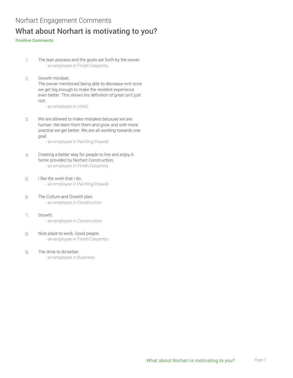## Norhart Engagement Comments What about Norhart is motivating to you?

Positive Comments

- 1. The lean process and the goals set forth by the owner. - an employee in Finish Carpentry
- 2. Growth mindset.

The owner mentioned being able to decrease rent once we get big enough to make the resident experience even better. This shows his definition of great isn't just rich.

- an employee in HVAC

3. We are allowed to make mistakes because we are human. We learn from them and grow and with more practice we get better. We are all working towards one goal.

- an employee in Painting/Drywall

- 4. Creating a better way for people to live and enjoy A home provided by Norhart Construction. - an employee in Finish Carpentry
- 5. I like the work that I do. - an employee in Painting/Drywall
- 6. The Culture and Growth plan. - an employee in Construction
- 7. Growth.
	- an employee in Construction
- 8. Nice place to work. Good peaple. - an employee in Finish Carpentry
- 9. The drive to do better.
	- an employee in Business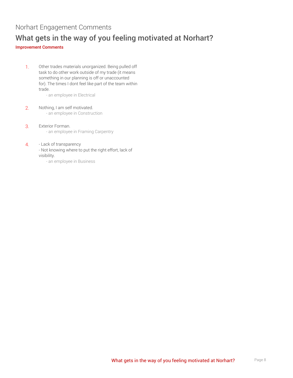### What gets in the way of you feeling motivated at Norhart?

Improvement Comments

1. Other trades materials unorganized. Being pulled off task to do other work outside of my trade (it means something in our planning is off or unaccounted for). The times I dont feel like part of the team within trade.

- an employee in Electrical

- 2. Nothing, I am self motivated. - an employee in Construction
- 3. Exterior Forman. - an employee in Framing Carpentry
- 4. Lack of transparency - Not knowing where to put the right effort, lack of visibility.
	- an employee in Business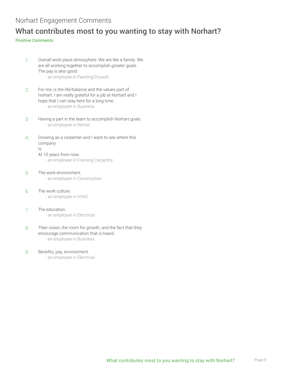### What contributes most to you wanting to stay with Norhart?

#### Positive Comments

1. Overall work place atmosphere. We are like a family. We are all working together to accomplish greater goals. The pay is also good.

- an employee in Painting/Drywall

- 2. For me, is the life/balance and the values part of norhart. I am really grateful for a job at Norhart and I hope that I can stay here for a long time. - an employee in Business
- 3. Having a part in the team to accomplish Norhart goals. - an employee in Rental
- 4. Growing as a carpenter and I want to see where this company Is
	- At 10 years from now.

- an employee in Framing Carpentry

- 5. The work environment. - an employee in Construction
- 6. The work culture. - an employee in HVAC
- 7. The education. - an employee in Electrical
- 8. Their vision, the room for growth, and the fact that they encourage communication that is heard. - an employee in Business
- 9. Benefits, pay, environment.
	- an employee in Electrical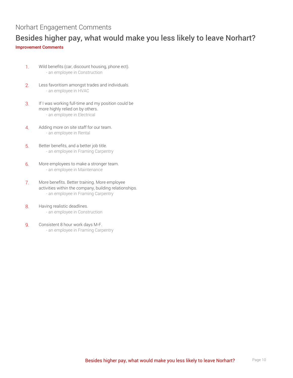#### Besides higher pay, what would make you less likely to leave Norhart? Improvement Comments

- 1. Wild benefits (car, discount housing, phone ect). - an employee in Construction
- 2. Less favoritism amongst trades and individuals. - an employee in HVAC
- 3. If I was working full-time and my position could be more highly relied on by others. - an employee in Electrical
- 4. Adding more on site staff for our team. - an employee in Rental
- 5. Better benefits, and a better job title. - an employee in Framing Carpentry
- 6. More employees to make a stronger team. - an employee in Maintenance
- 7. More benefits. Better training. More employee activities within the company, building relationships. - an employee in Framing Carpentry
- 8. Having realistic deadlines. - an employee in Construction
- 9. Consistent 8 hour work days M-F. - an employee in Framing Carpentry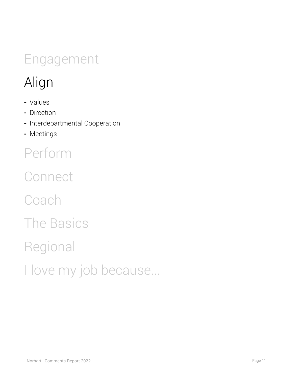## Engagement

## <span id="page-10-0"></span>Align

- **-** Values
- **-** Direction
- **-** Interdepartmental Cooperation
- **-** Meetings

## Perform

**Connect Coach** The Basics Regional

I love my job because...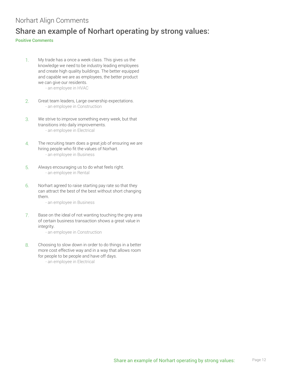## Norhart Align Comments Share an example of Norhart operating by strong values:

#### Positive Comments

- 1. My trade has a once a week class. This gives us the knowledge we need to be industry leading employees and create high quality buildings. The better equipped and capable we are as employees, the better product we can give our residents.
	- an employee in HVAC
- 2. Great team leaders, Large ownership expectations. - an employee in Construction
- 3. We strive to improve something every week, but that transitions into daily improvements. - an employee in Electrical
- 4. The recruiting team does a great job of ensuring we are hiring people who fit the values of Norhart. - an employee in Business
- 5. Always encouraging us to do what feels right. - an employee in Rental
- 6. Norhart agreed to raise starting pay rate so that they can attract the best of the best without short changing them.
	- an employee in Business
- 7. Base on the ideal of not wanting touching the grey area of certain business transaction shows a great value in integrity.
	- an employee in Construction
- 8. Choosing to slow down in order to do things in a better more cost effective way and in a way that allows room for people to be people and have off days.
	- an employee in Electrical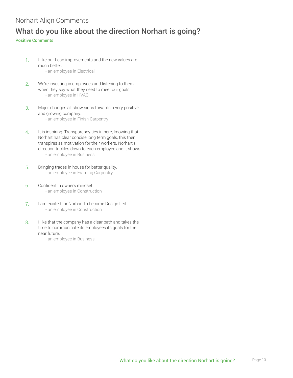## Norhart Align Comments What do you like about the direction Norhart is going?

#### Positive Comments

1. I like our Lean improvements and the new values are much better.

- an employee in Electrical

- 2. We're investing in employees and listening to them when they say what they need to meet our goals. - an employee in HVAC
- 3. Major changes all show signs towards a very positive and growing company.

- an employee in Finish Carpentry

- 4. It is inspiring. Transparency ties in here, knowing that Norhart has clear concise long term goals, this then transpires as motivation for their workers. Norhart's direction trickles down to each employee and it shows. - an employee in Business
- 5. Bringing trades in house for better quality. - an employee in Framing Carpentry
- 6. Confident in owners mindset. - an employee in Construction
- 7. I am excited for Norhart to become Design Led. - an employee in Construction
- 8. I like that the company has a clear path and takes the time to communicate its employees its goals for the near future.
	- an employee in Business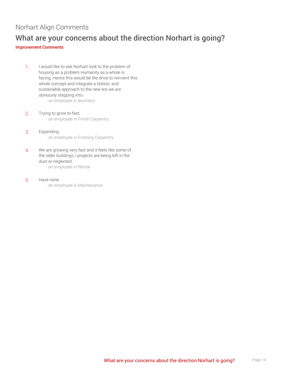#### Norhart Align Comments

#### What are your concerns about the direction Norhart is going?

#### Improvement Comments

- 1. I would like to see Norhart look to the problem of housing as a problem Humanity as a whole is facing. Hence this would be the drive to reinvent this whole concept and integrate a holistic and sustainable approach to the new era we are obviously stepping into.
	- an employee in Business
- 2. Trying to grow to fast. - an employee in Finish Carpentry
- 3. Expanding. - an employee in Framing Carpentry
- 4. We are growing very fast and it feels like some of the older buildings / projects are being left in the dust or neglected.

- an employee in Rental

- 5. Have none.
	- an employee in Maintenance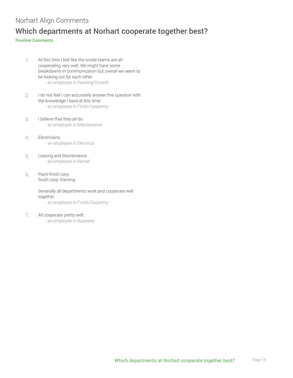## Norhart Align Comments Which departments at Norhart cooperate together best?

#### Positive Comments

1. At this time I feel like the onsite teams are all cooperating very well. We might have some breakdowns in communication but overall we seem to be looking out for each other.

- an employee in Painting/Drywall

- 2. I do not feel I can accurately answer this question with the knowledge I have at this time. - an employee in Finish Carpentry
- 3. I believe that they all do. - an employee in Maintenance
- 4. Electricians. - an employee in Electrical
- 5. Leasing and Maintenance. - an employee in Rental
- 6. Paint-finish carp finish carp- framing

Generally all departments work and cooperate well together.

- an employee in Finish Carpentry
- 7. All cooperate pretty well.
	- an employee in Business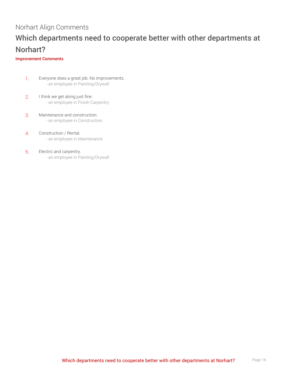## Norhart Align Comments Which departments need to cooperate better with other departments at Norhart?

#### Improvement Comments

- 1. Everyone does a great job. No improvements. - an employee in Painting/Drywall
- 2. I think we get along just fine. - an employee in Finish Carpentry
- 3. Maintenance and construction. - an employee in Construction
- 4. Construction / Rental. - an employee in Maintenance
- 5. Electric and carpentry. - an employee in Painting/Drywall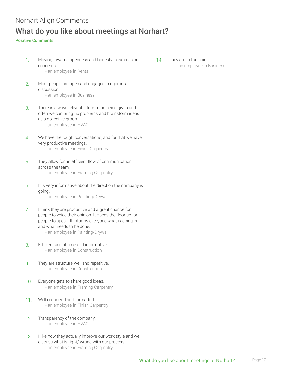## Norhart Align Comments What do you like about meetings at Norhart?

#### Positive Comments

1. Moving towards openness and honesty in expressing concerns.

- an employee in Rental

2. Most people are open and engaged in rigorous discussion.

- an employee in Business

- 3. There is always relivent information being given and often we can bring up problems and brainstorm ideas as a collective group.
	- an employee in HVAC
- 4. We have the tough conversations, and for that we have very productive meetings.
	- an employee in Finish Carpentry
- 5. They allow for an efficient flow of communication across the team.
	- an employee in Framing Carpentry
- 6. It is very informative about the direction the company is going.

- an employee in Painting/Drywall

7. I think they are productive and a great chance for people to voice their opinion. It opens the floor up for people to speak. It informs everyone what is going on and what needs to be done.

- an employee in Painting/Drywall

- 8. Efficient use of time and informative. - an employee in Construction
- 9. They are structure well and repetitive. - an employee in Construction
- 10. Everyone gets to share good ideas. - an employee in Framing Carpentry
- 11. Well organized and formatted. - an employee in Finish Carpentry
- 12. Transparency of the company. - an employee in HVAC
- 13. I like how they actually improve our work style and we discuss what is right/ wrong with our process. - an employee in Framing Carpentry

14. They are to the point. - an employee in Business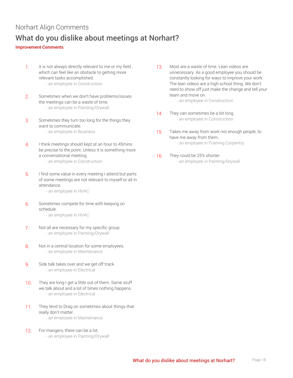### Norhart Align Comments What do you dislike about meetings at Norhart?

#### Improvement Comments

1. It is not always directly relevant to me or my field, which can feel like an obstacle to getting more relevant tasks accomplished.

- an employee in Construction

- 2. Sometimes when we don't have problems/issues the meetings can be a waste of time. - an employee in Painting/Drywall
- 3. Sometimes they turn too long for the things they want to communicate.
	- an employee in Business
- 4. I think meetings should kept at an hour to 45mins be precise to the point. Unless it is something more a conversational meeting.

- an employee in Construction

5. I find some value in every meeting I attend but parts of some meetings are not relevant to myself or all in attendance.

- an employee in HVAC

6. Sometimes compete for time with keeping on schedule.

- an employee in HVAC

- 7. Not all are necessary for my specific group. - an employee in Painting/Drywall
- 8. Not in a central location for some employees. - an employee in Maintenance
- 9. Side talk takes over and we get off track. - an employee in Electrical
- 10. They are long I get a little out of them. Same stuff we talk about and a lot of times nothing happens. - an employee in Electrical
- 11. They tend to Drag on sometimes about things that really don't matter. - an employee in Maintenance
- 12. For mangers, there can be a lot. - an employee in Painting/Drywall

13. Most are a waste of time. Lean videos are unnecessary. As a good employee you should be constantly looking for ways to improve your work. The lean videos are a high school thing. We don't need to show off just make the change and tell your team and move on.

- an employee in Construction

- 14. They can sometimes be a bit long. - an employee in Construction
- 15. Takes me away from work not enough people, to have me away from them. - an employee in Framing Carpentry
- 16. They could be 25% shorter. - an employee in Painting/Drywall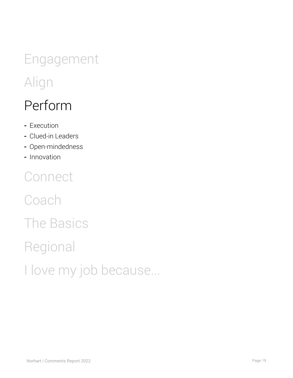# Engagement Align

## <span id="page-18-0"></span>Perform

- **-** Execution
- **-** Clued-in Leaders
- **-** Open-mindedness
- **-** Innovation

## **Connect**

**Coach** The Basics Regional I love my job because...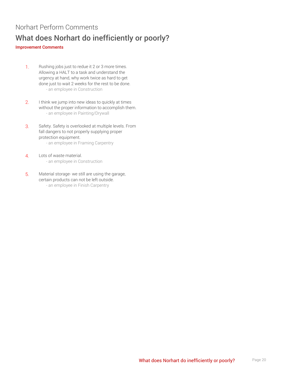## Norhart Perform Comments What does Norhart do inefficiently or poorly?

Improvement Comments

- 1. Rushing jobs just to redue it 2 or 3 more times. Allowing a HALT to a task and understand the urgency at hand, why work twice as hard to get done just to wait 2 weeks for the rest to be done. - an employee in Construction
- 2. I think we jump into new ideas to quickly at times without the proper information to accomplish them. - an employee in Painting/Drywall
- 3. Safety. Safety is overlooked at multiple levels. From fall dangers to not properly supplying proper protection equipment.
	- an employee in Framing Carpentry
- 4. Lots of waste material. - an employee in Construction
- 5. Material storage- we still are using the garage, certain products can not be left outside. - an employee in Finish Carpentry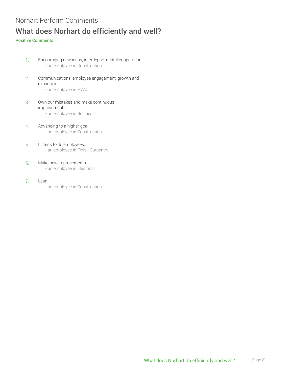## Norhart Perform Comments What does Norhart do efficiently and well?

#### Positive Comments

- 1. Encouraging new ideas, interdepartmental cooperation. - an employee in Construction
- 2. Communications, employee engagement, growth and expansion. - an employee in HVAC
- 3. Own our mistakes and make continuous improvements.
	- an employee in Business
- 4. Advancing to a higher goal. - an employee in Construction
- 5. Listens to its employees. - an employee in Finish Carpentry
- 6. Make new improvements. - an employee in Electrical

#### 7. Lean.

- an employee in Construction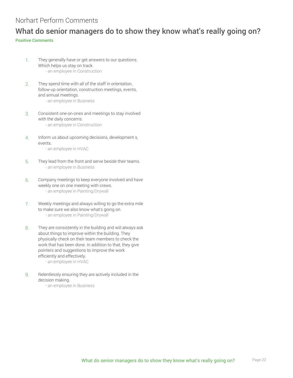#### Norhart Perform Comments

### What do senior managers do to show they know what's really going on?

#### Positive Comments

- 1. They generally have or get answers to our questions. Which helps us stay on track. - an employee in Construction
- 2. They spend time with all of the staff in orientation, follow-up orientation, construction meetings, events, and annual meetings.
	- an employee in Business
- 3. Consistent one-on-ones and meetings to stay involved with the daily concerns.
	- an employee in Construction
- 4. Inform us about upcoming decisions, development s, events.
	- an employee in HVAC
- 5. They lead from the front and serve beside their teams. - an employee in Business
- 6. Company meetings to keep everyone involved and have weekly one on one meeting with crews. - an employee in Painting/Drywall
- 7. Weekly meetings and always willing to go the extra mile to make sure we also know what's going on. - an employee in Painting/Drywall
- 8. They are consistently in the building and will always ask about things to improve within the building. They physically check on their team members to check the work that has been done. In addition to that, they give pointers and suggestions to improve the work efficiently and effectively.

- an employee in HVAC

9. Relentlessly ensuring they are actively included in the decision making.

- an employee in Business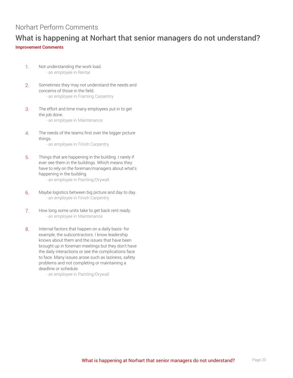#### Norhart Perform Comments

#### What is happening at Norhart that senior managers do not understand? Improvement Comments

- 1. Not understanding the work load. - an employee in Rental
- 2. Sometimes they may not understand the needs and concerns of those in the field. - an employee in Framing Carpentry
- 3. The effort and time many employees put in to get the job done. - an employee in Maintenance
- 4. The needs of the teams first over the bigger picture things.

- an employee in Finish Carpentry

- 5. Things that are happening in the building. I rarely if ever see them in the buildings. Which means they have to rely on the foreman/managers about what's happening in the building.
	- an employee in Painting/Drywall
- 6. Maybe logistics between big picture and day to day. - an employee in Finish Carpentry
- 7. How long some units take to get back rent ready. - an employee in Maintenance
- 8. Internal factors that happen on a daily basis- for example, the subcontractors. I know leadership knows about them and the issues that have been brought up in foreman meetings but they don't have the daily interactions or see the complications face to face. Many issues arose such as laziness, safety problems and not completing or maintaining a deadline or schedule.

- an employee in Painting/Drywall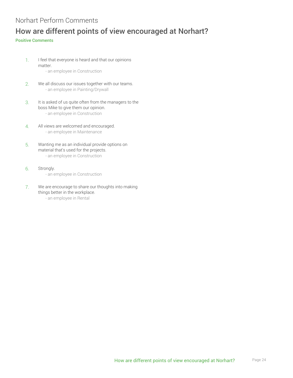## Norhart Perform Comments How are different points of view encouraged at Norhart?

#### Positive Comments

1. I feel that everyone is heard and that our opinions matter.

- an employee in Construction

- 2. We all discuss our issues together with our teams. - an employee in Painting/Drywall
- 3. It is asked of us quite often from the managers to the boss Mike to give them our opinion. - an employee in Construction
- 4. All views are welcomed and encouraged. - an employee in Maintenance
- 5. Wanting me as an individual provide options on material that's used for the projects. - an employee in Construction
- 6. Strongly. - an employee in Construction
- 7. We are encourage to share our thoughts into making things better in the workplace. - an employee in Rental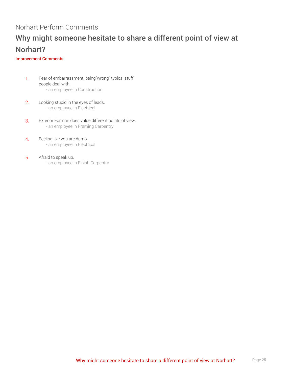## Norhart Perform Comments Why might someone hesitate to share a different point of view at Norhart?

#### Improvement Comments

- 1. Fear of embarrassment, being"wrong" typical stuff people deal with. - an employee in Construction
- 2. Looking stupid in the eyes of leads. - an employee in Electrical
- 3. Exterior Forman does value different points of view. - an employee in Framing Carpentry
- 4. Feeling like you are dumb. - an employee in Electrical
- 5. Afraid to speak up. - an employee in Finish Carpentry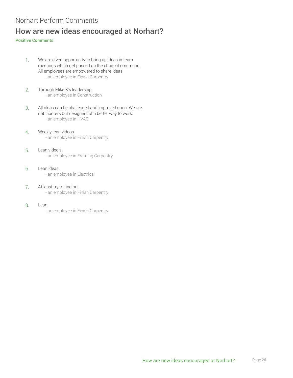### Norhart Perform Comments How are new ideas encouraged at Norhart?

#### Positive Comments

- 1. We are given opportunity to bring up ideas in team meetings which get passed up the chain of command. All employees are empowered to share ideas. - an employee in Finish Carpentry
- 2. Through Mike K's leadership. - an employee in Construction
- 3. All ideas can be challenged and improved upon. We are not laborers but designers of a better way to work. - an employee in HVAC
- 4. Weekly lean videos. - an employee in Finish Carpentry
- 5. Lean video's. - an employee in Framing Carpentry
- 6. Lean ideas. - an employee in Electrical
- 7. At least try to find out. - an employee in Finish Carpentry
- 8. Lean.
	- an employee in Finish Carpentry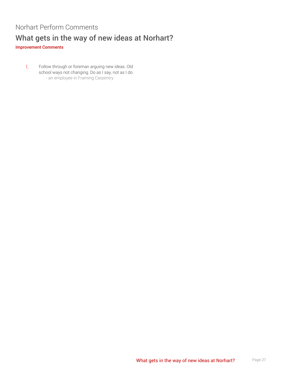## Norhart Perform Comments What gets in the way of new ideas at Norhart?

Improvement Comments

1. Follow through or foreman arguing new ideas. Old school ways not changing. Do as I say, not as I do. - an employee in Framing Carpentry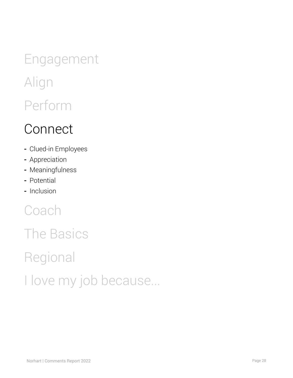# Engagement Align Perform

## <span id="page-27-0"></span>**Connect**

- **-** Clued-in Employees
- **-** Appreciation
- **-** Meaningfulness
- **-** Potential
- **-** Inclusion

## **Coach**

# The Basics

Regional

I love my job because...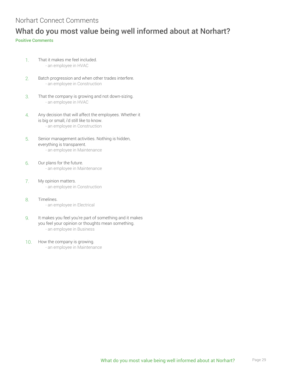## Norhart Connect Comments What do you most value being well informed about at Norhart?

#### Positive Comments

- 1. That it makes me feel included. - an employee in HVAC
- 2. Batch progression and when other trades interfere. - an employee in Construction
- 3. That the company is growing and not down-sizing. - an employee in HVAC
- 4. Any decision that will affect the employees. Whether it is big or small, i'd still like to know. - an employee in Construction
- 5. Senior management activities. Nothing is hidden, everything is transparent. - an employee in Maintenance
- 6. Our plans for the future. - an employee in Maintenance
- 7. My opinion matters. - an employee in Construction
- 8. Timelines. - an employee in Electrical
- 9. It makes you feel you're part of something and it makes you feel your opinion or thoughts mean something. - an employee in Business
- 10. How the company is growing.
	- an employee in Maintenance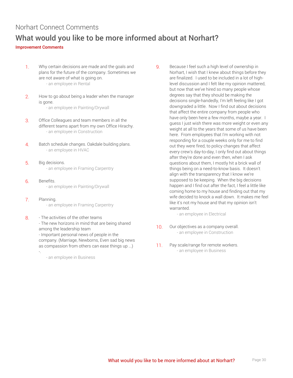## Norhart Connect Comments What would you like to be more informed about at Norhart?

#### Improvement Comments

- 1. Why certain decisions are made and the goals and plans for the future of the company. Sometimes we are not aware of what is going on. - an employee in Rental
- 2. How to go about being a leader when the manager is gone.
	- an employee in Painting/Drywall
- 3. Office Colleagues and team members in all the different teams apart from my own Office Hirachy. - an employee in Construction
- 4. Batch schedule changes. Oakdale building plans. - an employee in HVAC
- 5. Big decisions. - an employee in Framing Carpentry
- 6. Benefits. - an employee in Painting/Drywall
- 7. Planning. - an employee in Framing Carpentry
- 8. The activities of the other teams - The new horizons in mind that are being shared among the leadership team - Important personal news of people in the company. (Marriage, Newborns, Even sad big news as compassion from others can ease things up ...) -.

- an employee in Business

9. Because I feel such a high level of ownership in Norhart, I wish that I knew about things before they are finalized. I used to be included in a lot of highlevel discussion and I felt like my opinion mattered, but now that we've hired so many people whose degrees say that they should be making the decisions single-handedly, I'm left feeling like I got downgraded a little. Now I find out about decisions that affect the entire company from people who have only been here a few months, maybe a year. I guess I just wish there was more weight or even any weight at all to the years that some of us have been here. From employees that I'm working with not responding for a couple weeks only for me to find out they were fired, to policy changes that affect every crew's day-to-day, I only find out about things after they're done and even then, when I ask questions about them, I mostly hit a brick wall of things being on a need-to-know basis. It doesn't align with the transparency that I know we're supposed to be keeping. When the big decisions happen and I find out after the fact, I feel a little like coming home to my house and finding out that my wife decided to knock a wall down. It makes me feel like it's not my house and that my opinion isn't warranted.

- an employee in Electrical

- 10. Our objectives as a company overall. - an employee in Construction
- 11. Pay scale/range for remote workers. - an employee in Business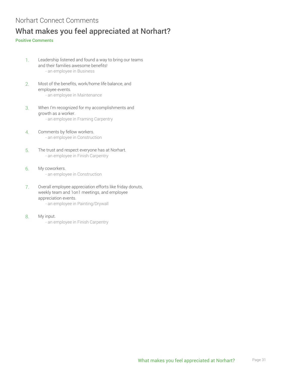## Norhart Connect Comments What makes you feel appreciated at Norhart?

#### Positive Comments

- 1. Leadership listened and found a way to bring our teams and their families awesome benefits! - an employee in Business
- 2. Most of the benefits, work/home life balance, and employee events.

- an employee in Maintenance

- 3. When I'm recognized for my accomplishments and growth as a worker. - an employee in Framing Carpentry
- 4. Comments by fellow workers. - an employee in Construction
- 5. The trust and respect everyone has at Norhart. - an employee in Finish Carpentry
- 6. My coworkers. - an employee in Construction
- 7. Overall employee appreciation efforts like friday donuts, weekly team and 1on1 meetings, and employee appreciation events.
	- an employee in Painting/Drywall
- 8. My input.
	- an employee in Finish Carpentry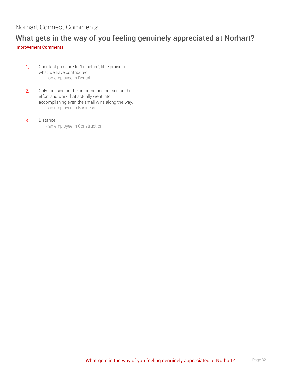#### Norhart Connect Comments What gets in the way of you feeling genuinely appreciated at Norhart? Improvement Comments

- 1. Constant pressure to "be better", little praise for what we have contributed. - an employee in Rental
- 2. Only focusing on the outcome and not seeing the effort and work that actually went into accomplishing even the small wins along the way. - an employee in Business
- 3. Distance. - an employee in Construction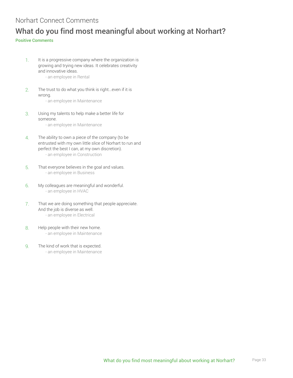## Norhart Connect Comments What do you find most meaningful about working at Norhart?

#### Positive Comments

- 1. It is a progressive company where the organization is growing and trying new ideas. It celebrates creativity and innovative ideas.
	- an employee in Rental
- 2. The trust to do what you think is right...even if it is wrong.
	- an employee in Maintenance
- 3. Using my talents to help make a better life for someone.
	- an employee in Maintenance
- 4. The ability to own a piece of the company (to be entrusted with my own little slice of Norhart to run and perfect the best I can, at my own discretion).
	- an employee in Construction
- 5. That everyone believes in the goal and values. - an employee in Business
- 6. My colleagues are meaningful and wonderful. - an employee in HVAC
- 7. That we are doing something that people appreciate. And the job is diverse as well. - an employee in Electrical
- 8. Help people with their new home. - an employee in Maintenance
- 9. The kind of work that is expected. - an employee in Maintenance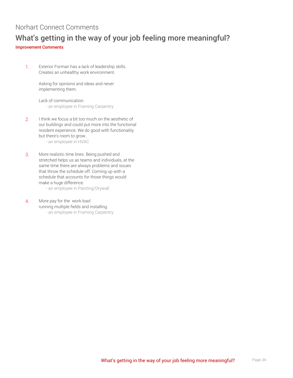## Norhart Connect Comments What's getting in the way of your job feeling more meaningful?

Improvement Comments

1. Exterior Forman has a lack of leadership skills. Creates an unhealthy work environment.

> Asking for opinions and ideas and never implementing them.

> Lack of communication. - an employee in Framing Carpentry

- 2. I think we focus a bit too much on the aesthetic of our buildings and could put more into the functional resident experience. We do good with functionality but there's room to grow. - an employee in HVAC
- 3. More realistic time lines. Being pushed and stretched helps us as teams and individuals, at the
	- same time there are always problems and issues that throw the schedule off. Coming up with a schedule that accounts for those things would make a huge difference.

- an employee in Painting/Drywall

4. More pay for the work load running multiple fields and installing. - an employee in Framing Carpentry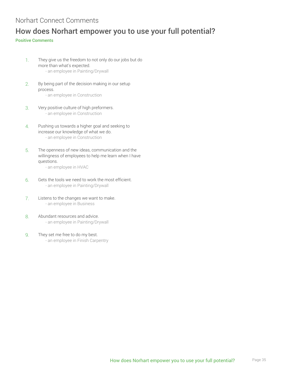## Norhart Connect Comments How does Norhart empower you to use your full potential?

#### Positive Comments

- 1. They give us the freedom to not only do our jobs but do more than what's expected. - an employee in Painting/Drywall
- 2. By being part of the decision making in our setup process.
	- an employee in Construction
- 3. Very positive culture of high preformers. - an employee in Construction
- 4. Pushing us towards a higher goal and seeking to increase our knowledge of what we do. - an employee in Construction
- 5. The openness of new ideas, communication and the willingness of employees to help me learn when I have questions.
	- an employee in HVAC
- 6. Gets the tools we need to work the most efficient. - an employee in Painting/Drywall
- 7. Listens to the changes we want to make. - an employee in Business
- 8. Abundant resources and advice. - an employee in Painting/Drywall
- 9. They set me free to do my best. - an employee in Finish Carpentry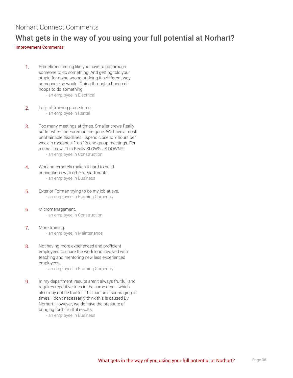## Norhart Connect Comments What gets in the way of you using your full potential at Norhart?

Improvement Comments

1. Sometimes feeling like you have to go through someone to do something. And getting told your stupid for doing wrong or doing it a different way someone else would. Going through a bunch of hoops to do something.

- an employee in Electrical

- 2. Lack of training procedures. - an employee in Rental
- 3. Too many meetings at times. Smaller crews Really suffer when the Foreman are gone. We have almost unattainable deadlines. I spend close to 7 hours per week in meetings, 1 on 1's and group meetings. For a small crew. This Really SLOWS US DOWN!!!!! - an employee in Construction
- 4. Working remotely makes it hard to build connections with other departments. - an employee in Business
- 5. Exterior Forman trying to do my job at eve. - an employee in Framing Carpentry
- 6. Micromanagement. - an employee in Construction
- 7. More training. - an employee in Maintenance
- 8. Not having more experienced and proficient employees to share the work load involved with teaching and mentoring new less experienced employees.

- an employee in Framing Carpentry

9. In my department, results aren't always fruitful, and requires repetitive tries in the same area... which also may not be fruitful. This can be discouraging at times. I don't necessarily think this is caused By Norhart. However, we do have the pressure of bringing forth fruitful results.

- an employee in Business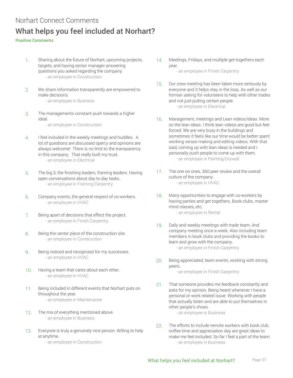## Norhart Connect Comments What helps you feel included at Norhart?

#### Positive Comments

- 1. Sharing about the future of Norhart, upcoming projects, targets, and having senior manager answering questions you asked regarding the company. - an employee in Construction
- 2. We share information transparently are empowered to make decisions. - an employee in Business
- 3. The managements constant push towards a higher ideal.
	- an employee in Construction
- 4. I feel included in the weekly meetings and huddles. A lot of questions are discussed open;y and opinions are always welcome! There is no limit to the transparency in this company. That really built my trust. - an employee in Electrical
- 5. The big 3, the finishing leaders, framing leaders. Having open conversations about day to day tasks.
	- an employee in Framing Carpentry
- 6. Company events, the general respect of co-workers. - an employee in HVAC
- 7. Being apart of decisions that effect the project. - an employee in Finish Carpentry
- 8. Being the center piece of the construction site. - an employee in Construction
- 9. Being noticed and recognized for my successes. - an employee in HVAC
- 10. Having a team that cares about each other. - an employee in HVAC
- 11. Being included in different events that Norhart puts on throughout the year.
	- an employee in Maintenance
- 12. The mix of everything mentioned above. - an employee in Business
- 13. Everyone is truly a genuinely nice person. Willing to help at anytime.
	- an employee in Construction

14. Meetings, Fridays, and multiple get-togethers each year.

- an employee in Finish Carpentry

- 15. Our crew meeting has been taken more seriously by everyone and it helps stay in the loop. As well as our forman asking for volunteers to help with other trades and not just pulling certain people. - an employee in Electrical
- 16. Management, meetings and Lean videos/ideas. More so the lean ideas. I think lean videos are good but feel forced. We are very busy in the buildings and sometimes it feels like our time would be better spent working verses making and editing videos. With that said, coming up with lean ideas is needed and I personally push people to come up with them. - an employee in Painting/Drywall
- 17. The one on ones, 360 peer review and the overall culture of the company. - an employee in HVAC
- 18. Many opportunities to engage with co-workers by having parties and get togethers. Book clubs, master mind classes, etc.

- an employee in Rental

- 19. Daily and weekly meetings with trade team. And company meeting once a week. Also including team members in book clubs and providing the books to learn and grow with the company. - an employee in Finish Carpentry
- 20. Being appreciated, team events, working with strong peers.

- an employee in Finish Carpentry

21. That someone provides me feedback constantly and asks for my opinion. Being heard whenever I have a personal or work related issue. Working with people that actually listen and are able to put themselves in other people's shoes.

- an employee in Business

22. The efforts to include remote workers with book club, coffee time and appreciation day are great ideas to make me feel included. So far I feel a part of the team. - an employee in Business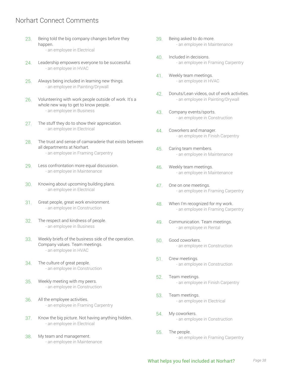#### Norhart Connect Comments

- 23. Being told the big company changes before they happen.
	- an employee in Electrical
- 24. Leadership empowers everyone to be successful. - an employee in HVAC
- 25. Always being included in learning new things. - an employee in Painting/Drywall
- 26. Volunteering with work people outside of work. It's a whole new way to get to know people. - an employee in Business
- 27. The stuff they do to show their appreciation. - an employee in Electrical
- 28. The trust and sense of camaraderie that exists between all departments at Norhart. - an employee in Framing Carpentry
- 29. Less confrontation more equal discussion. - an employee in Maintenance
- 30. Knowing about upcoming building plans. - an employee in Electrical
- 31. Great people, great work environment. - an employee in Construction
- 32. The respect and kindness of people. - an employee in Business
- 33. Weekly briefs of the business side of the operation. Company values. Team meetings. - an employee in HVAC
- 34. The culture of great people. - an employee in Construction
- 35. Weekly meeting with my peers. - an employee in Construction
- 36. All the employee activities. - an employee in Framing Carpentry
- 37. Know the big picture. Not having anything hidden. - an employee in Electrical
- 38. My team and management. - an employee in Maintenance
- 39. Being asked to do more. - an employee in Maintenance
- 40. Included in decisions. - an employee in Framing Carpentry
- 41. Weekly team meetings. - an employee in HVAC
- 42. Donuts/Lean videos, out of work activities. - an employee in Painting/Drywall
- 43. Company events/sports. - an employee in Construction
- 44. Coworkers and manager. - an employee in Finish Carpentry
- 45. Caring team members. - an employee in Maintenance
- 46. Weekly team meetings. - an employee in Maintenance
- 47. One on one meetings. - an employee in Framing Carpentry
- 48. When I'm recognized for my work. - an employee in Framing Carpentry
- 49. Communication. Team meetings. - an employee in Rental
- 50. Good coworkers. - an employee in Construction
- 51. Crew meetings. - an employee in Construction
- 52. Team meetings. - an employee in Finish Carpentry
- 53. Team meetings. - an employee in Electrical
- 54. My coworkers. - an employee in Construction
- 55. The people. - an employee in Framing Carpentry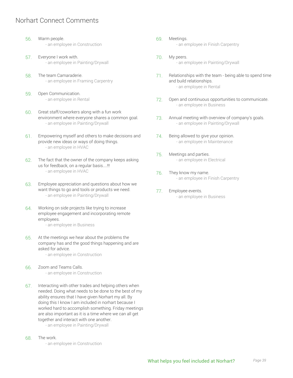#### Norhart Connect Comments

- 56. Warm people. - an employee in Construction
- 57. Everyone I work with. - an employee in Painting/Drywall
- 58. The team Camaraderie. - an employee in Framing Carpentry
- 59. Open Communication. - an employee in Rental
- 60. Great staff/coworkers along with a fun work environment where everyone shares a common goal. - an employee in Painting/Drywall
- 61. Empowering myself and others to make decisions and provide new ideas or ways of doing things. - an employee in HVAC
- 62. The fact that the owner of the company keeps asking us for feedback, on a regular basis....!!! - an employee in HVAC
- 63. Employee appreciation and questions about how we want things to go and tools or products we need. - an employee in Painting/Drywall
- 64. Working on side projects like trying to increase employee engagement and incorporating remote employees.

- an employee in Business

65. At the meetings we hear about the problems the company has and the good things happening and are asked for advice.

- an employee in Construction

- 66. Zoom and Teams Calls.
	- an employee in Construction
- 67. Interacting with other trades and helping others when needed. Doing what needs to be done to the best of my ability ensures that I have given Norhart my all. By doing this I know I am included in norhart because I worked hard to accomplish something. Friday meetings are also important as it is a time where we can all get together and interact with one another.

- an employee in Painting/Drywall

- 68. The work.
	- an employee in Construction
- 69. Meetings. - an employee in Finish Carpentry
- 70. My peers. - an employee in Painting/Drywall
- 71. Relationships with the team being able to spend time and build relationships. - an employee in Rental
- 72. Open and continuous opportunities to communicate. - an employee in Business
- 73. Annual meeting with overview of company's goals. - an employee in Painting/Drywall
- 74. Being allowed to give your opinion. - an employee in Maintenance
- 75. Meetings and parties. - an employee in Electrical
- 76. They know my name. - an employee in Finish Carpentry
- 77. Employee events. - an employee in Business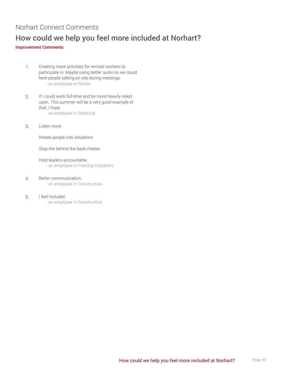## Norhart Connect Comments How could we help you feel more included at Norhart?

#### Improvement Comments

- 1. Creating more activities for remote workers to participate in. Maybe using better audio so we could here people talking on site during meetings. - an employee in Rental
- 2. If I could work full-time and be more heavily relied upon. This summer will be a very good example of that, I hope.
	- an employee in Electrical
- 3. Listen more.

Rotate people into situations

Stop the behind the back chatter

Hold leaders accountable.

- an employee in Framing Carpentry

- 4. Better communication.
	- an employee in Construction

#### 5. I feel included.

- an employee in Construction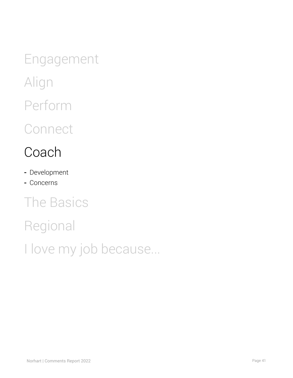Engagement Align Perform **Connect** 

## <span id="page-40-0"></span>Coach

- **-** Development
- **-** Concerns

## The Basics

Regional I love my job because...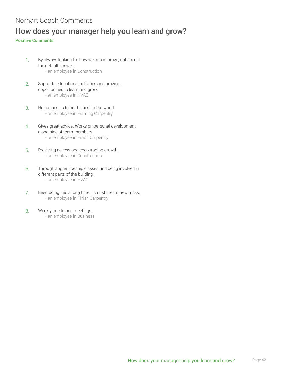## Norhart Coach Comments How does your manager help you learn and grow?

#### Positive Comments

- 1. By always looking for how we can improve, not accept the default answer. - an employee in Construction
- 2. Supports educational activities and provides opportunities to learn and grow. - an employee in HVAC
- 3. He pushes us to be the best in the world. - an employee in Framing Carpentry
- 4. Gives great advice. Works on personal development along side of team members. - an employee in Finish Carpentry
- 5. Providing access and encouraging growth. - an employee in Construction
- 6. Through apprenticeship classes and being involved in different parts of the building. - an employee in HVAC
- 7. Been doing this a long time .I can still learn new tricks. - an employee in Finish Carpentry
- 8. Weekly one to one meetings. - an employee in Business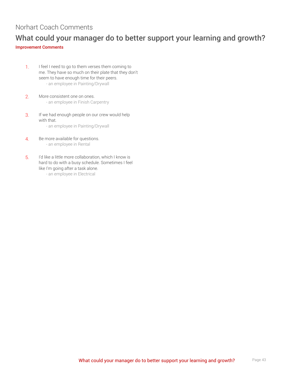#### Norhart Coach Comments

### What could your manager do to better support your learning and growth?

#### Improvement Comments

- 1. I feel I need to go to them verses them coming to me. They have so much on their plate that they don't seem to have enough time for their peers. - an employee in Painting/Drywall
- 2. More consistent one on ones. - an employee in Finish Carpentry
- 3. If we had enough people on our crew would help with that.
	- an employee in Painting/Drywall
- 4. Be more available for questions. - an employee in Rental
- 5. I'd like a little more collaboration, which I know is hard to do with a busy schedule. Sometimes I feel like I'm going after a task alone.
	- an employee in Electrical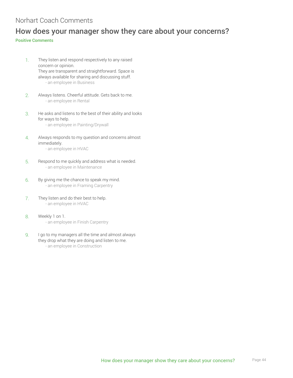#### Norhart Coach Comments

#### How does your manager show they care about your concerns?

#### Positive Comments

- 1. They listen and respond respectively to any raised concern or opinion. They are transparent and straightforward. Space is always available for sharing and discussing stuff. - an employee in Business
- 2. Always listens. Cheerful attitude. Gets back to me. - an employee in Rental
- 3. He asks and listens to the best of their ability and looks for ways to help.
	- an employee in Painting/Drywall
- 4. Always responds to my question and concerns almost immediately.
	- an employee in HVAC
- 5. Respond to me quickly and address what is needed. - an employee in Maintenance
- 6. By giving me the chance to speak my mind. - an employee in Framing Carpentry
- 7. They listen and do their best to help. - an employee in HVAC
- 8. Weekly 1 on 1. - an employee in Finish Carpentry
- 9. I go to my managers all the time and almost always they drop what they are doing and listen to me. - an employee in Construction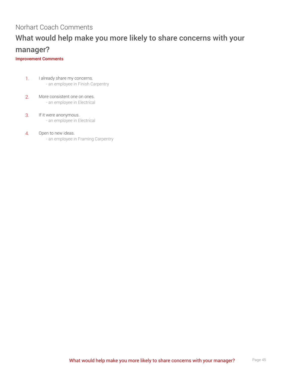## Norhart Coach Comments What would help make you more likely to share concerns with your manager?

#### Improvement Comments

- 1. I already share my concerns. - an employee in Finish Carpentry
- 2. More consistent one on ones. - an employee in Electrical
- 3. If it were anonymous. - an employee in Electrical
- 4. Open to new ideas. - an employee in Framing Carpentry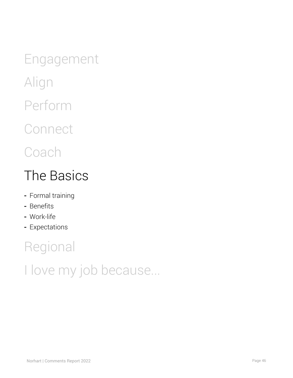Engagement Align Perform **Connect Coach** 

## <span id="page-45-0"></span>The Basics

- **-** Formal training
- **-** Benefits
- **-** Work-life
- **-** Expectations

## Regional

I love my job because...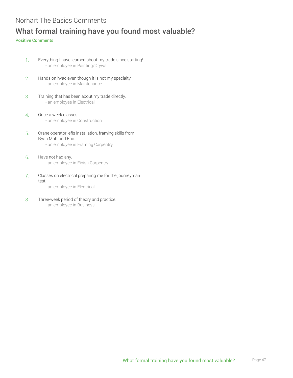## Norhart The Basics Comments What formal training have you found most valuable?

#### Positive Comments

- 1. Everything I have learned about my trade since starting! - an employee in Painting/Drywall
- 2. Hands on hvac even though it is not my specialty. - an employee in Maintenance
- 3. Training that has been about my trade directly. - an employee in Electrical
- 4. Once a week classes. - an employee in Construction
- 5. Crane operator, efis installation, framing skills from Ryan Matt and Eric. - an employee in Framing Carpentry
- 6. Have not had any. - an employee in Finish Carpentry
- 7. Classes on electrical preparing me for the journeyman test.
	- an employee in Electrical
- 8. Three-week period of theory and practice.
	- an employee in Business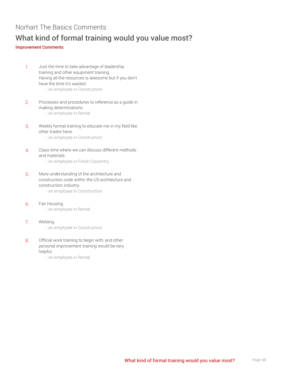### Norhart The Basics Comments What kind of formal training would you value most?

Improvement Comments

1. Just the time to take advantage of leadership training and other equipment training. Having all the resources is awesome but if you don't have the time it's wasted.

- an employee in Construction

- 2. Processes and procedures to reference as a guide in making determinations. - an employee in Rental
- 3. Weekly formal training to educate me in my field like other trades have. - an employee in Construction
- 4. Class time where we can discuss different methods and materials.

- an employee in Finish Carpentry

5. More understanding of the architecture and construction code within the US architecture and construction industry.

- an employee in Construction

- 6. Fair Housing. - an employee in Rental
- 7. Welding. - an employee in Construction
- 8. Official work training to begin with, and other personal improvement training would be very helpful.

- an employee in Rental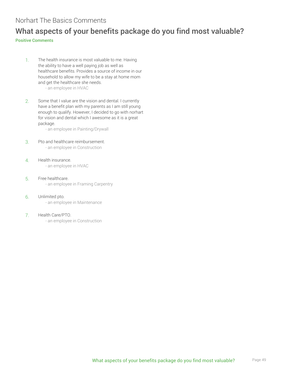#### Norhart The Basics Comments

### What aspects of your benefits package do you find most valuable?

#### Positive Comments

- 1. The health insurance is most valuable to me. Having the ability to have a well paying job as well as healthcare benefits. Provides a source of income in our household to allow my wife to be a stay at home mom and get the healthcare she needs.
	- an employee in HVAC
- 2. Some that I value are the vision and dental. I currently have a benefit plan with my parents as I am still young enough to qualify. However, I decided to go with norhart for vision and dental which I awesome as it is a great package.

- an employee in Painting/Drywall

3. Pto and healthcare reimbursement.

- an employee in Construction

- 4. Health insurance. - an employee in HVAC
- 5. Free healthcare.

- an employee in Framing Carpentry

- 6. Unlimited pto.
	- an employee in Maintenance

#### 7. Health Care/PTO.

- an employee in Construction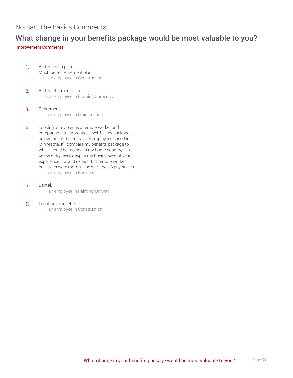#### Norhart The Basics Comments

#### What change in your benefits package would be most valuable to you? Improvement Comments

- 1. Better health plan. Much better retirement plan! - an employee in Construction
- 2. Better retirement plan. - an employee in Framing Carpentry
- 3. Retirement. - an employee in Maintenance
- 4. Looking at my pay as a remote worker and comparing it to apprentice level 1's, my package is below that of the entry level employees based in Minnesota. If I compare my benefits package to what I could be making in my home country, it is below entry level, despite me having several years experience. I would expect that remote worker packages were more in line with the US pay scales. - an employee in Business
- 5. Dental.
	- an employee in Painting/Drywall
- 6. I dont have benefits.
	- an employee in Construction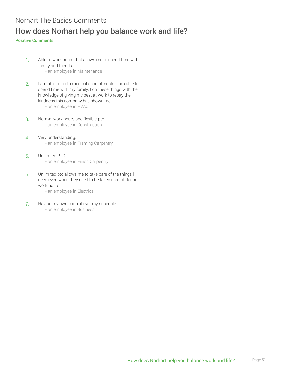## Norhart The Basics Comments How does Norhart help you balance work and life?

#### Positive Comments

- 1. Able to work hours that allows me to spend time with family and friends. - an employee in Maintenance
- 2. I am able to go to medical appointments. I am able to spend time with my family. I do these things with the knowledge of giving my best at work to repay the kindness this company has shown me. - an employee in HVAC
- 3. Normal work hours and flexible pto. - an employee in Construction
- 4. Very understanding. - an employee in Framing Carpentry
- 5. Unlimited PTO. - an employee in Finish Carpentry
- 6. Unlimited pto allows me to take care of the things i need even when they need to be taken care of during work hours.

- an employee in Electrical

- 7. Having my own control over my schedule.
	- an employee in Business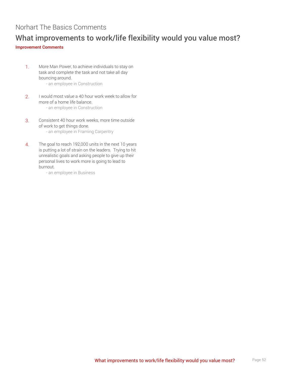#### Norhart The Basics Comments

### What improvements to work/life flexibility would you value most?

#### Improvement Comments

1. More Man Power, to achieve individuals to stay on task and complete the task and not take all day bouncing around.

- an employee in Construction

2. I would most value a 40 hour work week to allow for more of a home life balance.

- an employee in Construction

3. Consistent 40 hour work weeks, more time outside of work to get things done.

- an employee in Framing Carpentry

4. The goal to reach 192,000 units in the next 10 years is putting a lot of strain on the leaders. Trying to hit unrealistic goals and asking people to give up their personal lives to work more is going to lead to burnout.

- an employee in Business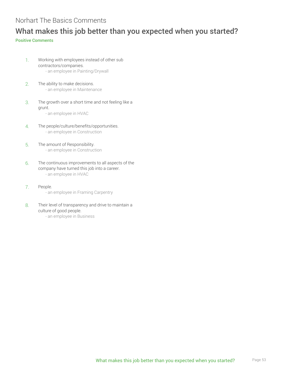## Norhart The Basics Comments What makes this job better than you expected when you started?

#### Positive Comments

- 1. Working with employees instead of other sub contractors/companies. - an employee in Painting/Drywall
- 2. The ability to make decisions. - an employee in Maintenance
- 3. The growth over a short time and not feeling like a grunt. - an employee in HVAC
	-
- 4. The people/culture/benefits/opportunities. - an employee in Construction
- 5. The amount of Responsibility. - an employee in Construction
- 6. The continuous improvements to all aspects of the company have turned this job into a career. - an employee in HVAC
- 7. People. - an employee in Framing Carpentry
- 8. Their level of transparency and drive to maintain a culture of good people. - an employee in Business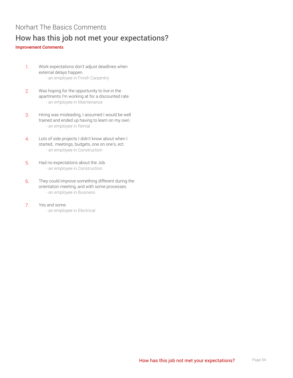#### Norhart The Basics Comments

#### How has this job not met your expectations?

#### Improvement Comments

- 1. Work expectations don't adjust deadlines when external delays happen. - an employee in Finish Carpentry
- 2. Was hoping for the opportunity to live in the apartments I'm working at for a discounted rate. - an employee in Maintenance
- 3. Hiring was misleading, I assumed I would be well trained and ended up having to learn on my own. - an employee in Rental
- 4. Lots of side projects I didn't know about when I started, meetings, budgets, one on one's, ect. - an employee in Construction
- 5. Had no expectations about the Job. - an employee in Construction
- 6. They could improve something different during the orientation meeting, and with some processes. - an employee in Business
- 7. Yes and some. - an employee in Electrical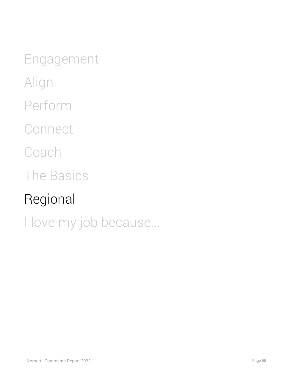<span id="page-54-0"></span>Engagement Align Perform **Connect** Coach The Basics Regional I love my job because...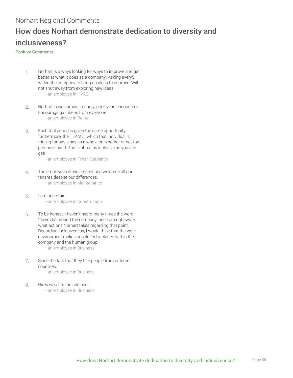## Norhart Regional Comments How does Norhart demonstrate dedication to diversity and inclusiveness?

#### Positive Comments

- 1. Norhart is always looking for ways to improve and get better at what it does as a company. Asking every5 within the company to bring up ideas to improve. Will not shut away from exploring new ideas. - an employee in HVAC
- 2. Norhart is welcoming, friendly, positive in encounters. Encouraging of ideas from everyone. - an employee in Rental
- 3. Each trial period is given the same opportunity; furthermore, the TEAM in which that individual is trialing for has a say as a whole on whether or not that person is hired. That's about as inclusive as you can get!

- an employee in Finish Carpentry

- 4. The employees strive respect and welcome all our tenants despite our differences. - an employee in Maintenance
- 5. I am uncertain. - an employee in Construction
- 6. To be honest, I haven't heard many times the word "diversity" around the company, and I am not aware what actions Norhart takes regarding that point. Regarding inclusiveness, I would think that the work environment makes people feel included within the company and the human group.
	- an employee in Business
- 7. Since the fact that they hire people from different countries.

- an employee in Business

8. Hires who fits the role best.

- an employee in Business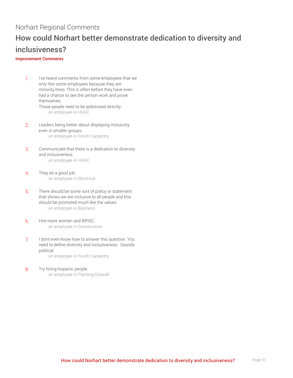## Norhart Regional Comments How could Norhart better demonstrate dedication to diversity and inclusiveness?

#### Improvement Comments

1. I've heard comments from some employees that we only hire some employees because they are minority hires. This is often before they have even had a chance to see the person work and prove themselves. Those people need to be addressed directly.

- an employee in HVAC

- 2. Leaders being better about displaying inclusivity even in smaller groups. - an employee in Finish Carpentry
- 3. Communicate that there is a dedication to diversity and inclusiveness. - an employee in HVAC
- 4. They do a good job. - an employee in Electrical
- 5. There should be some sort of policy or statement that shows we are inclusive to all people and this should be promoted much like the values. - an employee in Business
- 6. Hire more women and BIPOC. - an employee in Construction
- 7. I dont even know how to answer this question .You need to define diversity and inclusiveness. Sounds political.

- an employee in Finish Carpentry

- 8. Try hiring hispanic people.
	- an employee in Painting/Drywall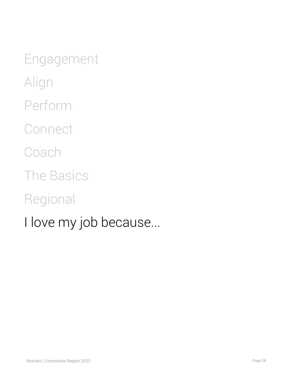<span id="page-57-0"></span>Engagement Align Perform **Connect Coach** The Basics Regional I love my job because...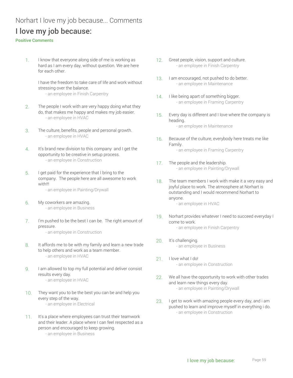### Norhart I love my job because... Comments I love my job because:

#### Positive Comments

1. I know that everyone along side of me is working as hard as I am every day, without question. We are here for each other.

> I have the freedom to take care of life and work without stressing over the balance.

- an employee in Finish Carpentry

- 2. The people I work with are very happy doing what they do, that makes me happy and makes my job easier. - an employee in HVAC
- 3. The culture, benefits, people and personal growth. - an employee in HVAC
- 4. It's brand new division to this company and I get the opportunity to be creative in setup process. - an employee in Construction
- 5. I get paid for the experience that I bring to the company. The people here are all awesome to work with!!!

- an employee in Painting/Drywall

- 6. My coworkers are amazing. - an employee in Business
- 7. I'm pushed to be the best I can be. The right amount of pressure.

- an employee in Construction

- 8. It affords me to be with my family and learn a new trade to help others and work as a team member. - an employee in HVAC
- 9. I am allowed to top my full potential and deliver consist results every day. - an employee in HVAC
- 10. They want you to be the best you can be and help you every step of the way.

- an employee in Electrical

11. It's a place where employees can trust their teamwork and their leader. A place where I can feel respected as a person and encouraged to keep growing.

- an employee in Business

- 12. Great people, vision, support and culture. - an employee in Finish Carpentry
- 13. I am encouraged, not pushed to do better. - an employee in Maintenance
- 14. I like being apart of something bigger. - an employee in Framing Carpentry
- 15. Every day is different and I love where the company is heading.

- an employee in Maintenance

16. Because of the culture, everybody here treats me like Family.

- an employee in Framing Carpentry

- 17. The people and the leadership. - an employee in Painting/Drywall
- 18. The team members I work with make it a very easy and joyful place to work. The atmosphere at Norhart is outstanding and I would recommend Norhart to anyone.

- an employee in HVAC

- 19. Norhart provides whatever I need to succeed everyday I come to work. - an employee in Finish Carpentry
- 20. It's challenging. - an employee in Business
- 21. I love what I do! - an employee in Construction
- 22. We all have the opportunity to work with other trades and learn new things every day. - an employee in Painting/Drywall
- 23. I get to work with amazing people every day, and i am pushed to learn and improve myself in everything i do. - an employee in Construction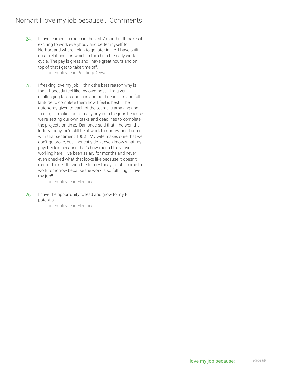#### Norhart I love my job because... Comments

24. I have learned so much in the last 7 months. It makes it exciting to work everybody and better myself for Norhart and where I plan to go later in life. I have built great relationships which in turn help the daily work cycle. The pay is great and I have great hours and on top of that I get to take time off.

- an employee in Painting/Drywall

25. I freaking love my job! I think the best reason why is that I honestly feel like my own boss. I'm given challenging tasks and jobs and hard deadlines and full latitude to complete them how I feel is best. The autonomy given to each of the teams is amazing and freeing. It makes us all really buy in to the jobs because we're setting our own tasks and deadlines to complete the projects on time. Dan once said that if he won the lottery today, he'd still be at work tomorrow and I agree with that sentiment 100%. My wife makes sure that we don't go broke, but I honestly don't even know what my paycheck is because that's how much I truly love working here. I've been salary for months and never even checked what that looks like because it doesn't matter to me. If I won the lottery today, I'd still come to work tomorrow because the work is so fulfilling. I love my job!!

- an employee in Electrical

26. I have the opportunity to lead and grow to my full potential.

- an employee in Electrical